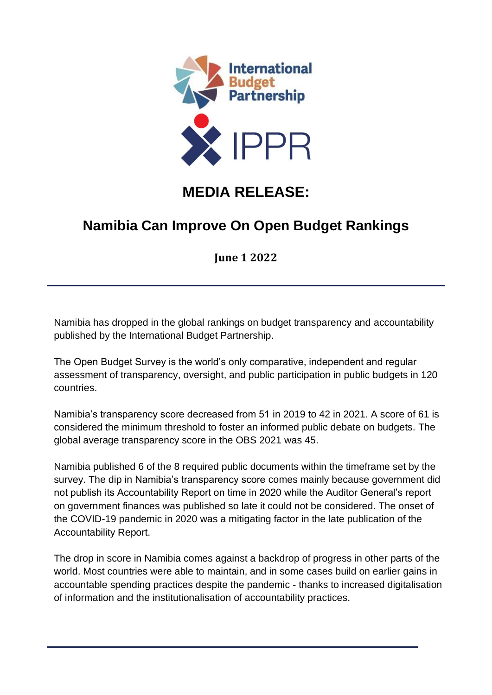

## **MEDIA RELEASE:**

## **Namibia Can Improve On Open Budget Rankings**

**June 1 2022**

Namibia has dropped in the global rankings on budget transparency and accountability published by the International Budget Partnership.

The Open Budget Survey is the world's only comparative, independent and regular assessment of transparency, oversight, and public participation in public budgets in 120 countries.

Namibia's transparency score decreased from 51 in 2019 to 42 in 2021. A score of 61 is considered the minimum threshold to foster an informed public debate on budgets. The global average transparency score in the OBS 2021 was 45.

Namibia published 6 of the 8 required public documents within the timeframe set by the survey. The dip in Namibia's transparency score comes mainly because government did not publish its Accountability Report on time in 2020 while the Auditor General's report on government finances was published so late it could not be considered. The onset of the COVID-19 pandemic in 2020 was a mitigating factor in the late publication of the Accountability Report.

The drop in score in Namibia comes against a backdrop of progress in other parts of the world. Most countries were able to maintain, and in some cases build on earlier gains in accountable spending practices despite the pandemic - thanks to increased digitalisation of information and the institutionalisation of accountability practices.